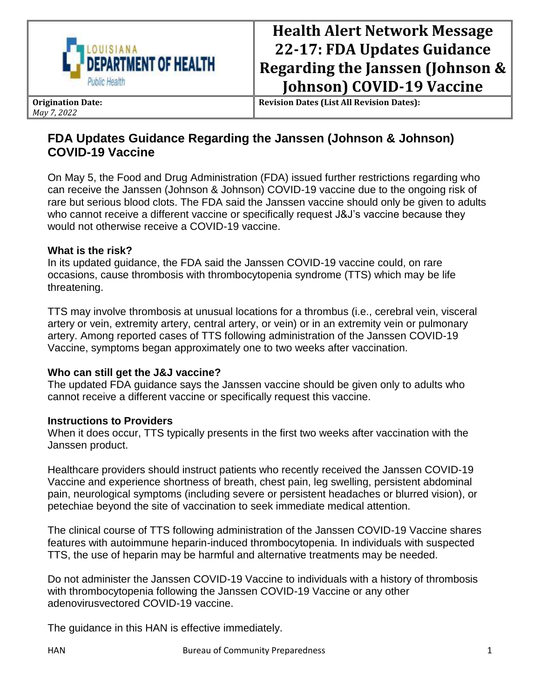

# **Health Alert Network Message 22-17: FDA Updates Guidance Regarding the Janssen (Johnson & Johnson) COVID-19 Vaccine**

**Origination Date:** *May 7, 2022*

**Revision Dates (List All Revision Dates):**

# **FDA Updates Guidance Regarding the Janssen (Johnson & Johnson) COVID-19 Vaccine**

On May 5, the Food and Drug Administration (FDA) issued further restrictions regarding who can receive the Janssen (Johnson & Johnson) COVID-19 vaccine due to the ongoing risk of rare but serious blood clots. The FDA said the Janssen vaccine should only be given to adults who cannot receive a different vaccine or specifically request J&J's vaccine because they would not otherwise receive a COVID-19 vaccine.

#### **What is the risk?**

In its updated guidance, the FDA said the Janssen COVID-19 vaccine could, on rare occasions, cause thrombosis with thrombocytopenia syndrome (TTS) which may be life threatening.

TTS may involve thrombosis at unusual locations for a thrombus (i.e., cerebral vein, visceral artery or vein, extremity artery, central artery, or vein) or in an extremity vein or pulmonary artery. Among reported cases of TTS following administration of the Janssen COVID-19 Vaccine, symptoms began approximately one to two weeks after vaccination.

## **Who can still get the J&J vaccine?**

The updated FDA guidance says the Janssen vaccine should be given only to adults who cannot receive a different vaccine or specifically request this vaccine.

## **Instructions to Providers**

When it does occur, TTS typically presents in the first two weeks after vaccination with the Janssen product.

Healthcare providers should instruct patients who recently received the Janssen COVID-19 Vaccine and experience shortness of breath, chest pain, leg swelling, persistent abdominal pain, neurological symptoms (including severe or persistent headaches or blurred vision), or petechiae beyond the site of vaccination to seek immediate medical attention.

The clinical course of TTS following administration of the Janssen COVID-19 Vaccine shares features with autoimmune heparin-induced thrombocytopenia. In individuals with suspected TTS, the use of heparin may be harmful and alternative treatments may be needed.

Do not administer the Janssen COVID-19 Vaccine to individuals with a history of thrombosis with thrombocytopenia following the Janssen COVID-19 Vaccine or any other adenovirusvectored COVID-19 vaccine.

The guidance in this HAN is effective immediately.